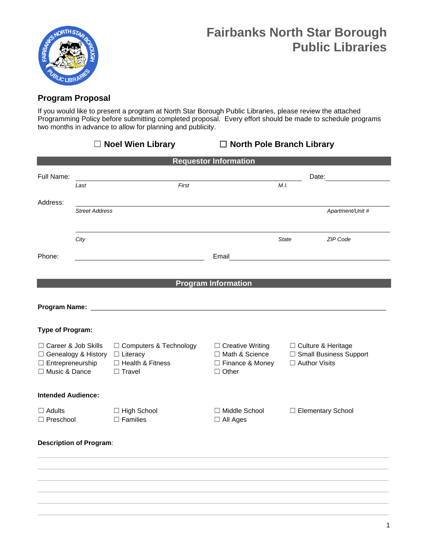

## **Program Proposal**

If you would like to present a program at North Star Borough Public Libraries, please review the attached Programming Policy before submitting completed proposal. Every effort should be made to schedule programs two months in advance to allow for planning and publicity.

|                                                                                              |                       | □ Noel Wien Library                                                                | □ North Pole Branch Library                                                      |                                                                     |                     |
|----------------------------------------------------------------------------------------------|-----------------------|------------------------------------------------------------------------------------|----------------------------------------------------------------------------------|---------------------------------------------------------------------|---------------------|
|                                                                                              |                       |                                                                                    | <b>Requestor Information</b>                                                     |                                                                     |                     |
| Full Name:                                                                                   | Last                  | First                                                                              |                                                                                  | M.I.                                                                | Date:               |
| Address:                                                                                     | <b>Street Address</b> |                                                                                    |                                                                                  |                                                                     | Apartment/Unit #    |
|                                                                                              |                       |                                                                                    |                                                                                  |                                                                     |                     |
|                                                                                              | City                  |                                                                                    |                                                                                  | <b>State</b>                                                        | ZIP Code            |
| Phone:                                                                                       |                       |                                                                                    | Email                                                                            |                                                                     |                     |
|                                                                                              |                       |                                                                                    | <b>Program Information</b>                                                       |                                                                     |                     |
|                                                                                              |                       |                                                                                    |                                                                                  |                                                                     |                     |
| <b>Type of Program:</b>                                                                      |                       |                                                                                    |                                                                                  |                                                                     |                     |
| □ Career & Job Skills<br>□ Genealogy & History<br>$\Box$ Entrepreneurship<br>□ Music & Dance |                       | □ Computers & Technology<br>$\Box$ Literacy<br>□ Health & Fitness<br>$\Box$ Travel | $\Box$ Creative Writing<br>□ Math & Science<br>□ Finance & Money<br>$\Box$ Other | □ Culture & Heritage<br>□ Small Business Support<br>□ Author Visits |                     |
| <b>Intended Audience:</b>                                                                    |                       |                                                                                    |                                                                                  |                                                                     |                     |
| $\Box$ Adults<br>$\Box$ Preschool                                                            |                       | □ High School<br>$\Box$ Families                                                   | $\Box$ Middle School<br>$\Box$ All Ages                                          |                                                                     | □ Elementary School |
| <b>Description of Program:</b>                                                               |                       |                                                                                    |                                                                                  |                                                                     |                     |
|                                                                                              |                       |                                                                                    |                                                                                  |                                                                     |                     |
|                                                                                              |                       |                                                                                    |                                                                                  |                                                                     |                     |
|                                                                                              |                       |                                                                                    |                                                                                  |                                                                     |                     |